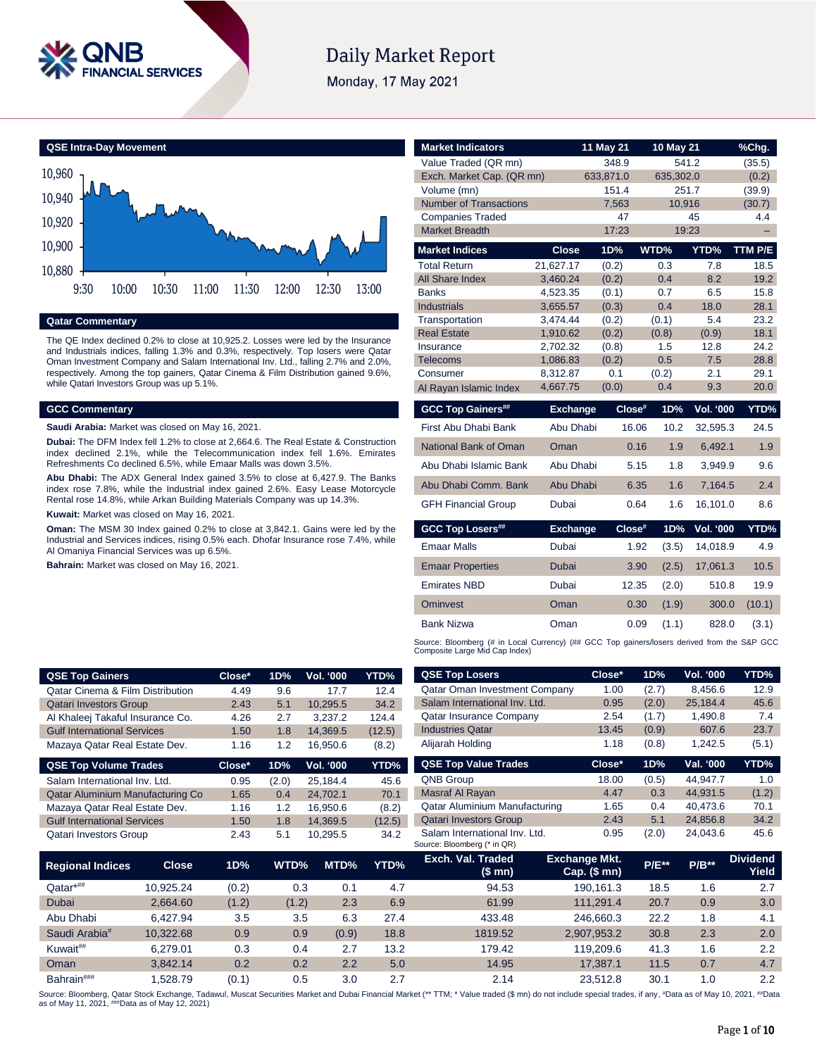

# **Daily Market Report**

Monday, 17 May 2021

**QSE Intra-Day Movement**



**Qatar Commentary**

The QE Index declined 0.2% to close at 10,925.2. Losses were led by the Insurance and Industrials indices, falling 1.3% and 0.3%, respectively. Top losers were Qatar Oman Investment Company and Salam International Inv. Ltd., falling 2.7% and 2.0%, respectively. Among the top gainers, Qatar Cinema & Film Distribution gained 9.6%, while Qatari Investors Group was up 5.1%.

# **GCC Commentary**

**Saudi Arabia:** Market was closed on May 16, 2021.

**Dubai:** The DFM Index fell 1.2% to close at 2,664.6. The Real Estate & Construction index declined 2.1%, while the Telecommunication index fell 1.6%. Emirates Refreshments Co declined 6.5%, while Emaar Malls was down 3.5%.

**Abu Dhabi:** The ADX General Index gained 3.5% to close at 6,427.9. The Banks index rose 7.8%, while the Industrial index gained 2.6%. Easy Lease Motorcycle Rental rose 14.8%, while Arkan Building Materials Company was up 14.3%.

**Kuwait:** Market was closed on May 16, 2021.

**Oman:** The MSM 30 Index gained 0.2% to close at 3,842.1. Gains were led by the Industrial and Services indices, rising 0.5% each. Dhofar Insurance rose 7.4%, while Al Omaniya Financial Services was up 6.5%.

**Bahrain:** Market was closed on May 16, 2021.

| <b>Market Indicators</b>                                                                                                      |                      | 11 May 21      | 10 May 21      |                  | %Chg.        |  |  |  |
|-------------------------------------------------------------------------------------------------------------------------------|----------------------|----------------|----------------|------------------|--------------|--|--|--|
| Value Traded (QR mn)                                                                                                          |                      | 348.9          | 541.2          |                  | (35.5)       |  |  |  |
| Exch. Market Cap. (QR mn)                                                                                                     |                      | 633,871.0      | 635,302.0      |                  | (0.2)        |  |  |  |
| Volume (mn)                                                                                                                   |                      | 151.4          | 251.7          |                  | (39.9)       |  |  |  |
| <b>Number of Transactions</b>                                                                                                 |                      | 7,563          | 10,916         |                  | (30.7)       |  |  |  |
| <b>Companies Traded</b>                                                                                                       |                      | 47             |                | 45               | 4.4          |  |  |  |
| <b>Market Breadth</b>                                                                                                         |                      | 17:23          | 19:23          |                  |              |  |  |  |
| <b>Market Indices</b>                                                                                                         | <b>Close</b>         | 1D%            | WTD%           | YTD%             | TTM P/E      |  |  |  |
| Total Return                                                                                                                  | 21,627.17            | (0.2)          | 0.3            | 7.8              | 18.5         |  |  |  |
| <b>All Share Index</b>                                                                                                        | 3,460.24             | (0.2)          | 0.4            | 8.2              | 19.2         |  |  |  |
| <b>Banks</b>                                                                                                                  | 4,523.35             | (0.1)          | 0.7            | 6.5              | 15.8         |  |  |  |
| <b>Industrials</b>                                                                                                            | 3,655.57             | (0.3)          | 0.4            | 18.0             | 28.1         |  |  |  |
| Transportation<br><b>Real Estate</b>                                                                                          | 3,474.44<br>1,910.62 | (0.2)<br>(0.2) | (0.1)<br>(0.8) | 5.4<br>(0.9)     | 23.2<br>18.1 |  |  |  |
| Insurance                                                                                                                     | 2,702.32             | (0.8)          | 1.5            | 12.8             | 24.2         |  |  |  |
| <b>Telecoms</b>                                                                                                               | 1,086.83             | (0.2)          | 0.5            | 7.5              | 28.8         |  |  |  |
| Consumer                                                                                                                      | 8,312.87             | 0.1            | (0.2)          | 2.1              | 29.1         |  |  |  |
| Al Rayan Islamic Index                                                                                                        | 4,667.75             | (0.0)          | 0.4            | 9.3              | 20.0         |  |  |  |
| <b>GCC Top Gainers##</b>                                                                                                      | <b>Exchange</b>      | Close#         | 1D%            | <b>Vol. '000</b> | YTD%         |  |  |  |
| First Abu Dhabi Bank                                                                                                          | Abu Dhabi            | 16.06          | 10.2           | 32,595.3         | 24.5         |  |  |  |
| National Bank of Oman                                                                                                         | Oman                 | 0.16           | 1.9            | 6,492.1          | 1.9          |  |  |  |
| Abu Dhabi Islamic Bank                                                                                                        | Abu Dhabi            | 5.15           | 1.8            | 3,949.9          | 9.6          |  |  |  |
| Abu Dhabi Comm. Bank                                                                                                          | Abu Dhabi            | 6.35           | 1.6            | 7,164.5          | 2.4          |  |  |  |
| <b>GFH Financial Group</b>                                                                                                    | Dubai                | 0.64           | 1.6            | 16,101.0         | 8.6          |  |  |  |
| <b>GCC Top Losers##</b>                                                                                                       | <b>Exchange</b>      | Close#         | 1D%            | Vol. '000        | YTD%         |  |  |  |
| <b>Emaar Malls</b>                                                                                                            | Dubai                | 1.92           | (3.5)          | 14,018.9         | 4.9          |  |  |  |
| <b>Emaar Properties</b>                                                                                                       | Dubai                | 3.90           | (2.5)          | 17,061.3         | 10.5         |  |  |  |
| <b>Emirates NBD</b>                                                                                                           | Dubai                | 12.35          | (2.0)          | 510.8            | 19.9         |  |  |  |
| <b>Ominvest</b>                                                                                                               | Oman                 | 0.30           | (1.9)          | 300.0            | (10.1)       |  |  |  |
| <b>Bank Nizwa</b>                                                                                                             | Oman                 | 0.09           | (1.1)          | 828.0            | (3.1)        |  |  |  |
| Source: Bloomberg (# in Local Currency) (## GCC Top gainers/losers derived from the S&P GCC<br>Composite Large Mid Cap Index) |                      |                |                |                  |              |  |  |  |

| <b>QSE Top Gainers</b>             |              | Close* | 1D%   | Vol. '000 | YTD%   | <b>QSE Top Losers</b>                                        | Close*                            | 1D%     | Vol. '000 | YTD%                     |
|------------------------------------|--------------|--------|-------|-----------|--------|--------------------------------------------------------------|-----------------------------------|---------|-----------|--------------------------|
| Qatar Cinema & Film Distribution   |              | 4.49   | 9.6   | 17.7      | 12.4   | <b>Qatar Oman Investment Company</b>                         | 1.00                              | (2.7)   | 8,456.6   | 12.9                     |
| <b>Qatari Investors Group</b>      |              | 2.43   | 5.1   | 10,295.5  | 34.2   | Salam International Inv. Ltd.                                | 0.95                              | (2.0)   | 25,184.4  | 45.6                     |
| Al Khaleej Takaful Insurance Co.   |              | 4.26   | 2.7   | 3,237.2   | 124.4  | <b>Qatar Insurance Company</b>                               | 2.54                              | (1.7)   | 1,490.8   | 7.4                      |
| <b>Gulf International Services</b> |              | 1.50   | 1.8   | 14,369.5  | (12.5) | <b>Industries Qatar</b>                                      | 13.45                             | (0.9)   | 607.6     | 23.7                     |
| Mazaya Qatar Real Estate Dev.      |              | 1.16   | 1.2   | 16,950.6  | (8.2)  | Alijarah Holding                                             | 1.18                              | (0.8)   | 1,242.5   | (5.1)                    |
| <b>QSE Top Volume Trades</b>       |              | Close* | 1D%   | Vol. '000 | YTD%   | <b>QSE Top Value Trades</b>                                  | Close*                            | 1D%     | Val. '000 | YTD%                     |
| Salam International Inv. Ltd.      |              | 0.95   | (2.0) | 25,184.4  | 45.6   | <b>QNB Group</b>                                             | 18.00                             | (0.5)   | 44,947.7  | 1.0                      |
| Qatar Aluminium Manufacturing Co   |              | 1.65   | 0.4   | 24,702.1  | 70.1   | Masraf Al Rayan                                              | 4.47                              | 0.3     | 44,931.5  | (1.2)                    |
| Mazaya Qatar Real Estate Dev.      |              | 1.16   | 1.2   | 16,950.6  | (8.2)  | <b>Qatar Aluminium Manufacturing</b>                         | 1.65                              | 0.4     | 40,473.6  | 70.1                     |
| <b>Gulf International Services</b> |              | 1.50   | 1.8   | 14,369.5  | (12.5) | <b>Qatari Investors Group</b>                                | 2.43                              | 5.1     | 24,856.8  | 34.2                     |
| <b>Qatari Investors Group</b>      |              | 2.43   | 5.1   | 10,295.5  | 34.2   | Salam International Inv. Ltd.<br>Source: Bloomberg (* in QR) | 0.95                              | (2.0)   | 24,043.6  | 45.6                     |
| <b>Regional Indices</b>            | <b>Close</b> | 1D%    | WTD%  | MTD%      | YTD%   | Exch. Val. Traded<br>(\$ mn)                                 | Exchange Mkt.<br>$Cap.$ $(\$$ mn) | $P/E**$ | $P/B***$  | <b>Dividend</b><br>Yield |
| Qatar*##                           | 10,925.24    | (0.2)  | 0.3   | 0.1       | 4.7    | 94.53                                                        | 190,161.3                         | 18.5    | 1.6       | 2.7                      |
| <b>Dubai</b>                       | 2,664.60     | (1.2)  | (1.2) | 2.3       | 6.9    | 61.99                                                        | 111,291.4                         | 20.7    | 0.9       | 3.0                      |
| Abu Dhabi                          | 6,427.94     | 3.5    | 3.5   | 6.3       | 27.4   | 433.48                                                       | 246,660.3                         | 22.2    | 1.8       | 4.1                      |
| Saudi Arabia <sup>#</sup>          | 10,322.68    | 0.9    | 0.9   | (0.9)     | 18.8   | 1819.52                                                      | 2,907,953.2                       | 30.8    | 2.3       | 2.0                      |
| Kuwait##                           | 6,279.01     | 0.3    | 0.4   | 2.7       | 13.2   | 179.42                                                       | 119,209.6                         | 41.3    | 1.6       | 2.2                      |
|                                    |              |        |       |           |        |                                                              |                                   |         |           |                          |

Bahrain### 1,528.79 (0.1) 0.5 3.0 2.7 2.14 23,512.8 30.1 1.0 2.2 Source: Bloomberg, Qatar Stock Exchange, Tadawul, Muscat Securities Market and Dubai Financial Market (\*\* TTM; \* Value traded (\$ mn) do not include special trades, if any, #Data as of May 10, 2021, ##Data<br>as of May 11, 202

Oman 3,842.14 0.2 0.2 2.2 5.0 14.95 17,387.1 11.5 0.7 4.7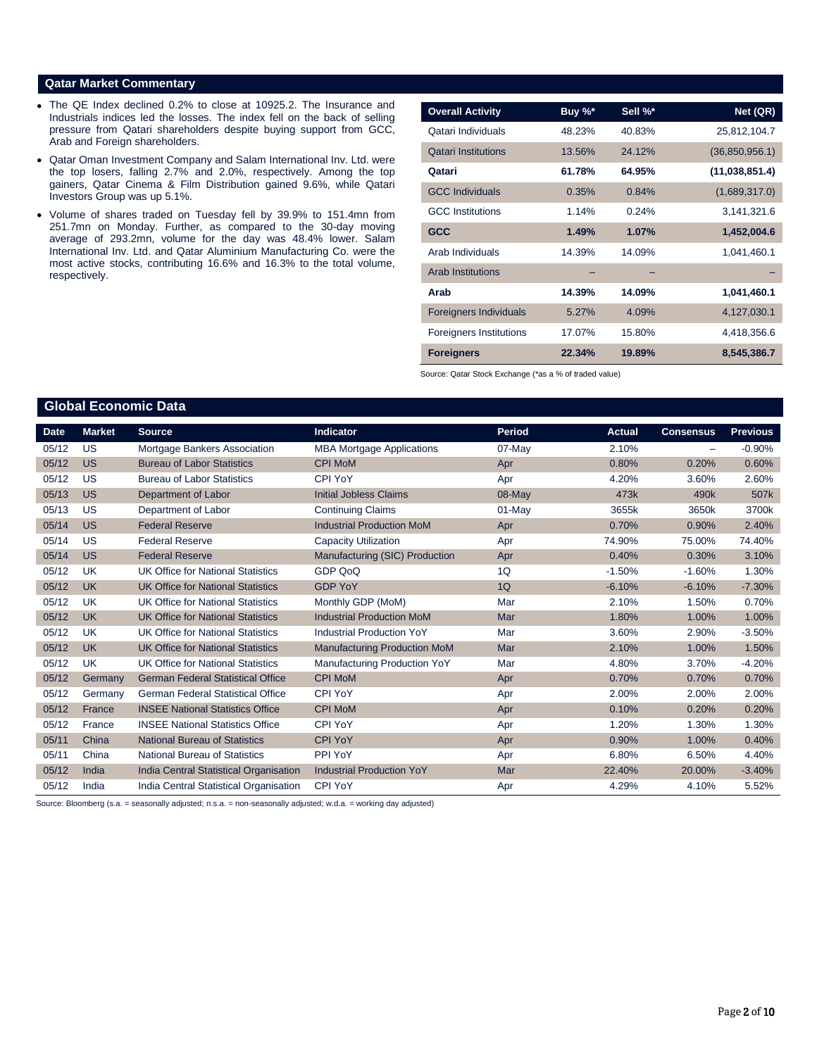### **Qatar Market Commentary**

**Global Economic Data** 

- The QE Index declined 0.2% to close at 10925.2. The Insurance and Industrials indices led the losses. The index fell on the back of selling pressure from Qatari shareholders despite buying support from GCC, Arab and Foreign shareholders.
- Qatar Oman Investment Company and Salam International Inv. Ltd. were the top losers, falling 2.7% and 2.0%, respectively. Among the top gainers, Qatar Cinema & Film Distribution gained 9.6%, while Qatari Investors Group was up 5.1%.
- Volume of shares traded on Tuesday fell by 39.9% to 151.4mn from 251.7mn on Monday. Further, as compared to the 30-day moving average of 293.2mn, volume for the day was 48.4% lower. Salam International Inv. Ltd. and Qatar Aluminium Manufacturing Co. were the most active stocks, contributing 16.6% and 16.3% to the total volume, respectively.

| <b>Overall Activity</b>        | Buy %* | Sell %* | Net (QR)         |
|--------------------------------|--------|---------|------------------|
| Qatari Individuals             | 48.23% | 40.83%  | 25,812,104.7     |
| <b>Qatari Institutions</b>     | 13.56% | 24.12%  | (36, 850, 956.1) |
| Qatari                         | 61.78% | 64.95%  | (11,038,851.4)   |
| <b>GCC Individuals</b>         | 0.35%  | 0.84%   | (1,689,317.0)    |
| <b>GCC</b> Institutions        | 1.14%  | 0.24%   | 3,141,321.6      |
| <b>GCC</b>                     | 1.49%  | 1.07%   | 1,452,004.6      |
| Arab Individuals               | 14.39% | 14.09%  | 1,041,460.1      |
| <b>Arab Institutions</b>       |        |         |                  |
| Arab                           | 14.39% | 14.09%  | 1,041,460.1      |
| <b>Foreigners Individuals</b>  | 5.27%  | 4.09%   | 4,127,030.1      |
| <b>Foreigners Institutions</b> | 17.07% | 15.80%  | 4,418,356.6      |
| <b>Foreigners</b>              | 22.34% | 19.89%  | 8,545,386.7      |

Source: Qatar Stock Exchange (\*as a % of traded value)

# **Date Market Source Indicator Period Actual Consensus Previous** 05/12 US Mortgage Bankers Association MBA Mortgage Applications 07-May 2.10% - -0.90% 05/12 US Bureau of Labor Statistics CPI MoM Apr Apr 0.80% 0.20% 0.80% 0.80% 0.80% 05/12 US Bureau of Labor Statistics CPI YoY Apr Apr 4.20% 3.60% 2.60% 05/13 US Department of Labor **Initial Jobless Claims** 08-May 473k 490k 507k 05/13 US Department of Labor Continuing Claims Continuing Claims 01-May 3655k 3650k 3700k 05/14 US Federal Reserve **Industrial Production MoM** Apr 0.70% 0.90% 2.40% 05/14 US Federal Reserve Capacity Utilization Apr 74.90% 74.90% 74.40% 05/14 US Federal Reserve **Manufacturing (SIC) Production** Apr 0.40% 0.30% 3.10% 05/12 UK UK Office for National Statistics GDP QoQ 10 10 -1.50% -1.60% 1.30% 1.30% 05/12 UK UK Office for National Statistics GDP YoY 10 1Q -6.10% -6.10% -7.30% -7.30% 05/12 UK UK Office for National Statistics Monthly GDP (MoM) Mar 2.10% 1.50% 0.70% 05/12 UK UK Office for National Statistics Industrial Production MoM Mar 1.80% 1.00% 1.00% 1.00% 05/12 UK UK Office for National Statistics Industrial Production YoY Mar 3.60% 2.90% -3.50% -3.50% 05/12 UK UK Office for National Statistics Manufacturing Production MoM Mar 2.10% 1.00% 1.50% 05/12 UK UK Office for National Statistics Manufacturing Production YoY Mar 4.80% 3.70% -4.20% 05/12 Germany German Federal Statistical Office CPI MoM Apr Apr 0.70% 0.70% 0.70% 0.70% 0.70% 05/12 Germany German Federal Statistical Office CPI YoY **Apr** 2.00% 2.00% 2.00% 2.00% 2.00% 05/12 France INSEE National Statistics Office CPI MoM Apr Apr 0.10% 0.20% 0.20% 0.20% 05/12 France INSEE National Statistics Office CPI YoY Apr Apr 1.20% 1.30% 1.30% 1.30% 05/11 China National Bureau of Statistics CPI YoY Apr Apr 0.90% 1.00% 0.40% 05/11 China National Bureau of Statistics PPI YoY Apr Apr 6.80% 6.50% 4.40% 05/12 India India Central Statistical Organisation Industrial Production YoY Mar 22.40% 20.00% -3.40% 05/12 India India Central Statistical Organisation CPI YoY Apr Apr 4.29% 4.10% 5.52%

Source: Bloomberg (s.a. = seasonally adjusted; n.s.a. = non-seasonally adjusted; w.d.a. = working day adjusted)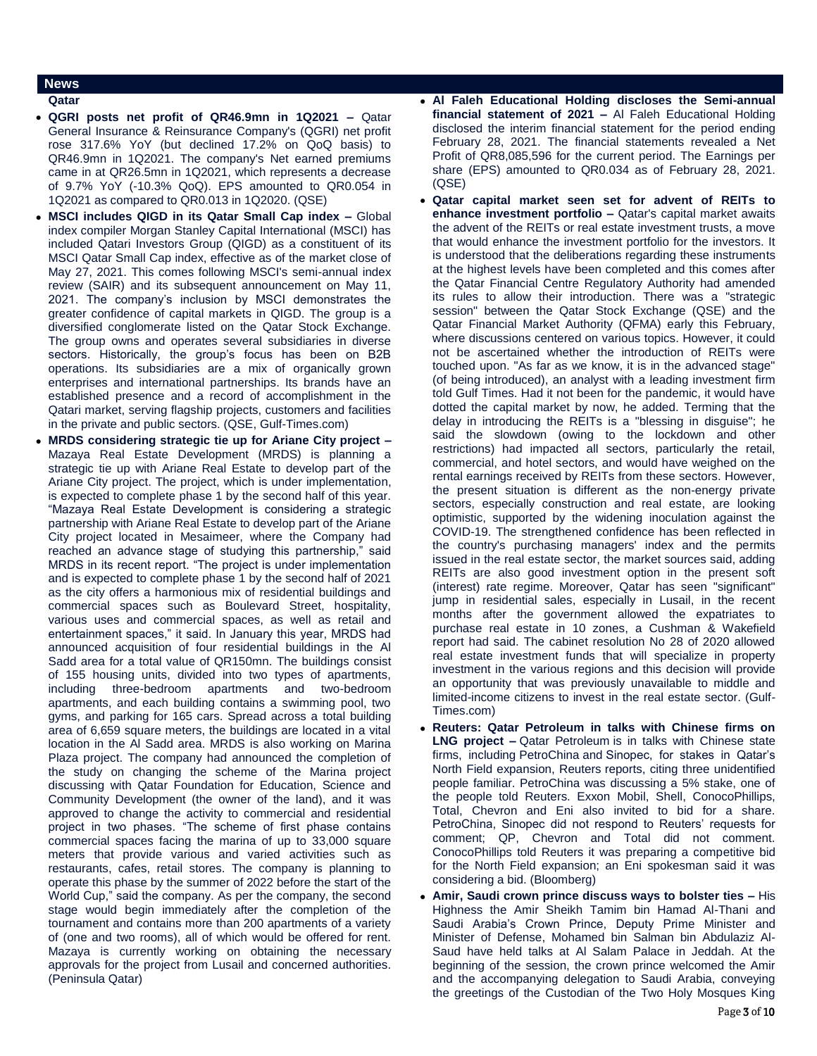## **News**

### **Qatar**

- **QGRI posts net profit of QR46.9mn in 1Q2021 –** Qatar General Insurance & Reinsurance Company's (QGRI) net profit rose 317.6% YoY (but declined 17.2% on QoQ basis) to QR46.9mn in 1Q2021. The company's Net earned premiums came in at QR26.5mn in 1Q2021, which represents a decrease of 9.7% YoY (-10.3% QoQ). EPS amounted to QR0.054 in 1Q2021 as compared to QR0.013 in 1Q2020. (QSE)
- **MSCI includes QIGD in its Qatar Small Cap index –** Global index compiler Morgan Stanley Capital International (MSCI) has included Qatari Investors Group (QIGD) as a constituent of its MSCI Qatar Small Cap index, effective as of the market close of May 27, 2021. This comes following MSCI's semi-annual index review (SAIR) and its subsequent announcement on May 11, 2021. The company's inclusion by MSCI demonstrates the greater confidence of capital markets in QIGD. The group is a diversified conglomerate listed on the Qatar Stock Exchange. The group owns and operates several subsidiaries in diverse sectors. Historically, the group's focus has been on B2B operations. Its subsidiaries are a mix of organically grown enterprises and international partnerships. Its brands have an established presence and a record of accomplishment in the Qatari market, serving flagship projects, customers and facilities in the private and public sectors. (QSE, Gulf-Times.com)
- **MRDS considering strategic tie up for Ariane City project –** Mazaya Real Estate Development (MRDS) is planning a strategic tie up with Ariane Real Estate to develop part of the Ariane City project. The project, which is under implementation, is expected to complete phase 1 by the second half of this year. "Mazaya Real Estate Development is considering a strategic partnership with Ariane Real Estate to develop part of the Ariane City project located in Mesaimeer, where the Company had reached an advance stage of studying this partnership," said MRDS in its recent report. "The project is under implementation and is expected to complete phase 1 by the second half of 2021 as the city offers a harmonious mix of residential buildings and commercial spaces such as Boulevard Street, hospitality, various uses and commercial spaces, as well as retail and entertainment spaces," it said. In January this year, MRDS had announced acquisition of four residential buildings in the Al Sadd area for a total value of QR150mn. The buildings consist of 155 housing units, divided into two types of apartments, including three-bedroom apartments and two-bedroom apartments, and each building contains a swimming pool, two gyms, and parking for 165 cars. Spread across a total building area of 6,659 square meters, the buildings are located in a vital location in the Al Sadd area. MRDS is also working on Marina Plaza project. The company had announced the completion of the study on changing the scheme of the Marina project discussing with Qatar Foundation for Education, Science and Community Development (the owner of the land), and it was approved to change the activity to commercial and residential project in two phases. "The scheme of first phase contains commercial spaces facing the marina of up to 33,000 square meters that provide various and varied activities such as restaurants, cafes, retail stores. The company is planning to operate this phase by the summer of 2022 before the start of the World Cup," said the company. As per the company, the second stage would begin immediately after the completion of the tournament and contains more than 200 apartments of a variety of (one and two rooms), all of which would be offered for rent. Mazaya is currently working on obtaining the necessary approvals for the project from Lusail and concerned authorities. (Peninsula Qatar)

 **Al Faleh Educational Holding discloses the Semi-annual financial statement of 2021 –** Al Faleh Educational Holding disclosed the interim financial statement for the period ending February 28, 2021. The financial statements revealed a Net Profit of QR8,085,596 for the current period. The Earnings per share (EPS) amounted to QR0.034 as of February 28, 2021. (QSE)

- **Qatar capital market seen set for advent of REITs to enhance investment portfolio –** Qatar's capital market awaits the advent of the REITs or real estate investment trusts, a move that would enhance the investment portfolio for the investors. It is understood that the deliberations regarding these instruments at the highest levels have been completed and this comes after the Qatar Financial Centre Regulatory Authority had amended its rules to allow their introduction. There was a "strategic session" between the Qatar Stock Exchange (QSE) and the Qatar Financial Market Authority (QFMA) early this February, where discussions centered on various topics. However, it could not be ascertained whether the introduction of REITs were touched upon. "As far as we know, it is in the advanced stage" (of being introduced), an analyst with a leading investment firm told Gulf Times. Had it not been for the pandemic, it would have dotted the capital market by now, he added. Terming that the delay in introducing the REITs is a "blessing in disguise"; he said the slowdown (owing to the lockdown and other restrictions) had impacted all sectors, particularly the retail, commercial, and hotel sectors, and would have weighed on the rental earnings received by REITs from these sectors. However, the present situation is different as the non-energy private sectors, especially construction and real estate, are looking optimistic, supported by the widening inoculation against the COVID-19. The strengthened confidence has been reflected in the country's purchasing managers' index and the permits issued in the real estate sector, the market sources said, adding REITs are also good investment option in the present soft (interest) rate regime. Moreover, Qatar has seen "significant" jump in residential sales, especially in Lusail, in the recent months after the government allowed the expatriates to purchase real estate in 10 zones, a Cushman & Wakefield report had said. The cabinet resolution No 28 of 2020 allowed real estate investment funds that will specialize in property investment in the various regions and this decision will provide an opportunity that was previously unavailable to middle and limited-income citizens to invest in the real estate sector. (Gulf-Times.com)
- **Reuters: Qatar Petroleum in talks with Chinese firms on LNG project –** Qatar Petroleum is in talks with Chinese state firms, including PetroChina and Sinopec, for stakes in Qatar's North Field expansion, Reuters reports, citing three unidentified people familiar. PetroChina was discussing a 5% stake, one of the people told Reuters. Exxon Mobil, Shell, ConocoPhillips, Total, Chevron and Eni also invited to bid for a share. PetroChina, Sinopec did not respond to Reuters' requests for comment; QP, Chevron and Total did not comment. ConocoPhillips told Reuters it was preparing a competitive bid for the North Field expansion; an Eni spokesman said it was considering a bid. (Bloomberg)
- **Amir, Saudi crown prince discuss ways to bolster ties –** His Highness the Amir Sheikh Tamim bin Hamad Al-Thani and Saudi Arabia's Crown Prince, Deputy Prime Minister and Minister of Defense, Mohamed bin Salman bin Abdulaziz Al-Saud have held talks at Al Salam Palace in Jeddah. At the beginning of the session, the crown prince welcomed the Amir and the accompanying delegation to Saudi Arabia, conveying the greetings of the Custodian of the Two Holy Mosques King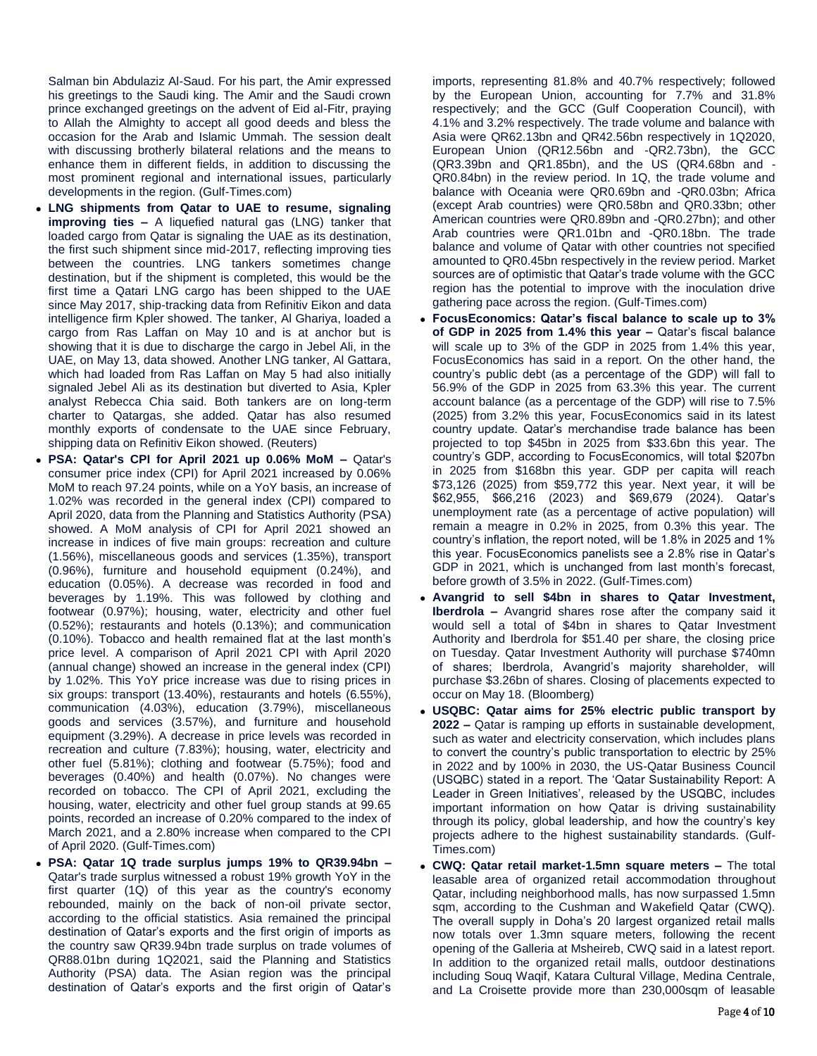Salman bin Abdulaziz Al-Saud. For his part, the Amir expressed his greetings to the Saudi king. The Amir and the Saudi crown prince exchanged greetings on the advent of Eid al-Fitr, praying to Allah the Almighty to accept all good deeds and bless the occasion for the Arab and Islamic Ummah. The session dealt with discussing brotherly bilateral relations and the means to enhance them in different fields, in addition to discussing the most prominent regional and international issues, particularly developments in the region. (Gulf-Times.com)

- **LNG shipments from Qatar to UAE to resume, signaling improving ties –** A liquefied natural gas (LNG) tanker that loaded cargo from Qatar is signaling the UAE as its destination, the first such shipment since mid-2017, reflecting improving ties between the countries. LNG tankers sometimes change destination, but if the shipment is completed, this would be the first time a Qatari LNG cargo has been shipped to the UAE since May 2017, ship-tracking data from Refinitiv Eikon and data intelligence firm Kpler showed. The tanker, Al Ghariya, loaded a cargo from Ras Laffan on May 10 and is at anchor but is showing that it is due to discharge the cargo in Jebel Ali, in the UAE, on May 13, data showed. Another LNG tanker, Al Gattara, which had loaded from Ras Laffan on May 5 had also initially signaled Jebel Ali as its destination but diverted to Asia, Kpler analyst Rebecca Chia said. Both tankers are on long-term charter to Qatargas, she added. Qatar has also resumed monthly exports of condensate to the UAE since February, shipping data on Refinitiv Eikon showed. (Reuters)
- **PSA: Qatar's CPI for April 2021 up 0.06% MoM –** Qatar's consumer price index (CPI) for April 2021 increased by 0.06% MoM to reach 97.24 points, while on a YoY basis, an increase of 1.02% was recorded in the general index (CPI) compared to April 2020, data from the Planning and Statistics Authority (PSA) showed. A MoM analysis of CPI for April 2021 showed an increase in indices of five main groups: recreation and culture (1.56%), miscellaneous goods and services (1.35%), transport (0.96%), furniture and household equipment (0.24%), and education (0.05%). A decrease was recorded in food and beverages by 1.19%. This was followed by clothing and footwear (0.97%); housing, water, electricity and other fuel (0.52%); restaurants and hotels (0.13%); and communication (0.10%). Tobacco and health remained flat at the last month's price level. A comparison of April 2021 CPI with April 2020 (annual change) showed an increase in the general index (CPI) by 1.02%. This YoY price increase was due to rising prices in six groups: transport (13.40%), restaurants and hotels (6.55%), communication (4.03%), education (3.79%), miscellaneous goods and services (3.57%), and furniture and household equipment (3.29%). A decrease in price levels was recorded in recreation and culture (7.83%); housing, water, electricity and other fuel (5.81%); clothing and footwear (5.75%); food and beverages (0.40%) and health (0.07%). No changes were recorded on tobacco. The CPI of April 2021, excluding the housing, water, electricity and other fuel group stands at 99.65 points, recorded an increase of 0.20% compared to the index of March 2021, and a 2.80% increase when compared to the CPI of April 2020. (Gulf-Times.com)
- **PSA: Qatar 1Q trade surplus jumps 19% to QR39.94bn –** Qatar's trade surplus witnessed a robust 19% growth YoY in the first quarter (1Q) of this year as the country's economy rebounded, mainly on the back of non-oil private sector, according to the official statistics. Asia remained the principal destination of Qatar's exports and the first origin of imports as the country saw QR39.94bn trade surplus on trade volumes of QR88.01bn during 1Q2021, said the Planning and Statistics Authority (PSA) data. The Asian region was the principal destination of Qatar's exports and the first origin of Qatar's

imports, representing 81.8% and 40.7% respectively; followed by the European Union, accounting for 7.7% and 31.8% respectively; and the GCC (Gulf Cooperation Council), with 4.1% and 3.2% respectively. The trade volume and balance with Asia were QR62.13bn and QR42.56bn respectively in 1Q2020, European Union (QR12.56bn and -QR2.73bn), the GCC (QR3.39bn and QR1.85bn), and the US (QR4.68bn and - QR0.84bn) in the review period. In 1Q, the trade volume and balance with Oceania were QR0.69bn and -QR0.03bn; Africa (except Arab countries) were QR0.58bn and QR0.33bn; other American countries were QR0.89bn and -QR0.27bn); and other Arab countries were QR1.01bn and -QR0.18bn. The trade balance and volume of Qatar with other countries not specified amounted to QR0.45bn respectively in the review period. Market sources are of optimistic that Qatar's trade volume with the GCC region has the potential to improve with the inoculation drive gathering pace across the region. (Gulf-Times.com)

- **FocusEconomics: Qatar's fiscal balance to scale up to 3% of GDP in 2025 from 1.4% this year –** Qatar's fiscal balance will scale up to 3% of the GDP in 2025 from 1.4% this year, FocusEconomics has said in a report. On the other hand, the country's public debt (as a percentage of the GDP) will fall to 56.9% of the GDP in 2025 from 63.3% this year. The current account balance (as a percentage of the GDP) will rise to 7.5% (2025) from 3.2% this year, FocusEconomics said in its latest country update. Qatar's merchandise trade balance has been projected to top \$45bn in 2025 from \$33.6bn this year. The country's GDP, according to FocusEconomics, will total \$207bn in 2025 from \$168bn this year. GDP per capita will reach \$73,126 (2025) from \$59,772 this year. Next year, it will be \$62,955, \$66,216 (2023) and \$69,679 (2024). Qatar's unemployment rate (as a percentage of active population) will remain a meagre in 0.2% in 2025, from 0.3% this year. The country's inflation, the report noted, will be 1.8% in 2025 and 1% this year. FocusEconomics panelists see a 2.8% rise in Qatar's GDP in 2021, which is unchanged from last month's forecast, before growth of 3.5% in 2022. (Gulf-Times.com)
- **Avangrid to sell \$4bn in shares to Qatar Investment, Iberdrola –** Avangrid shares rose after the company said it would sell a total of \$4bn in shares to Qatar Investment Authority and Iberdrola for \$51.40 per share, the closing price on Tuesday. Qatar Investment Authority will purchase \$740mn of shares; Iberdrola, Avangrid's majority shareholder, will purchase \$3.26bn of shares. Closing of placements expected to occur on May 18. (Bloomberg)
- **USQBC: Qatar aims for 25% electric public transport by 2022 –** Qatar is ramping up efforts in sustainable development, such as water and electricity conservation, which includes plans to convert the country's public transportation to electric by 25% in 2022 and by 100% in 2030, the US-Qatar Business Council (USQBC) stated in a report. The 'Qatar Sustainability Report: A Leader in Green Initiatives', released by the USQBC, includes important information on how Qatar is driving sustainability through its policy, global leadership, and how the country's key projects adhere to the highest sustainability standards. (Gulf-Times.com)
- **CWQ: Qatar retail market-1.5mn square meters –** The total leasable area of organized retail accommodation throughout Qatar, including neighborhood malls, has now surpassed 1.5mn sqm, according to the Cushman and Wakefield Qatar (CWQ). The overall supply in Doha's 20 largest organized retail malls now totals over 1.3mn square meters, following the recent opening of the Galleria at Msheireb, CWQ said in a latest report. In addition to the organized retail malls, outdoor destinations including Souq Waqif, Katara Cultural Village, Medina Centrale, and La Croisette provide more than 230,000sqm of leasable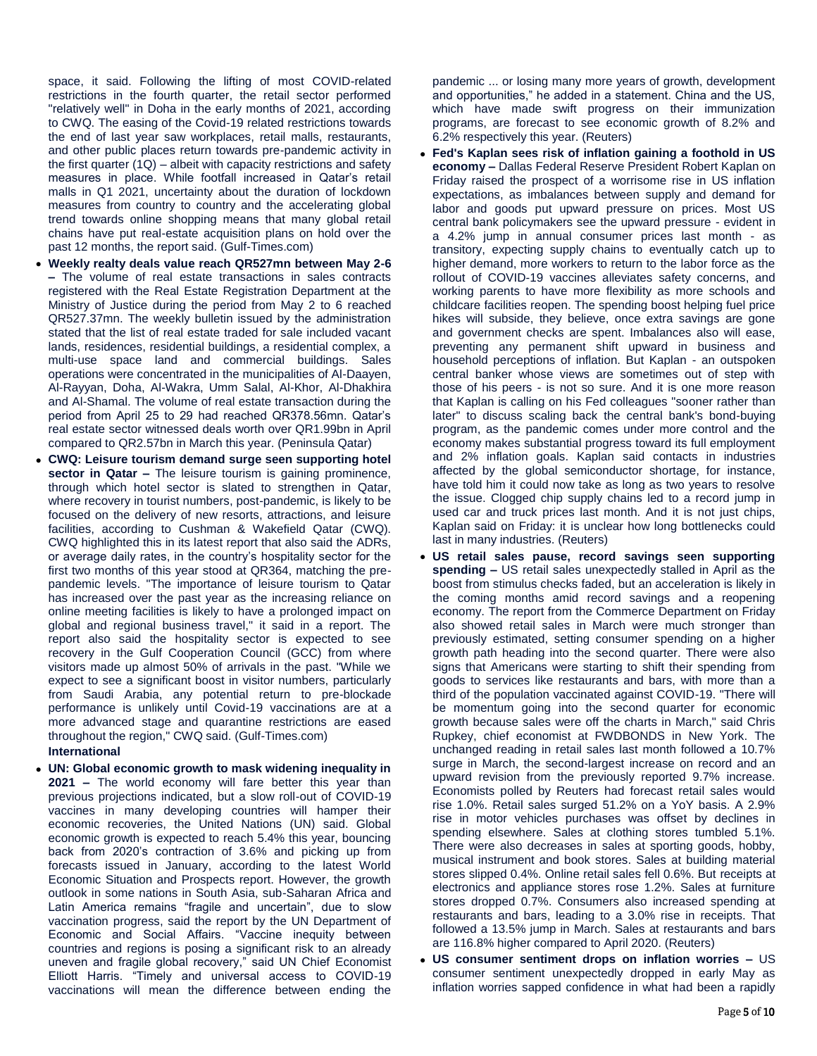space, it said. Following the lifting of most COVID-related restrictions in the fourth quarter, the retail sector performed "relatively well" in Doha in the early months of 2021, according to CWQ. The easing of the Covid-19 related restrictions towards the end of last year saw workplaces, retail malls, restaurants, and other public places return towards pre-pandemic activity in the first quarter  $(1Q)$  – albeit with capacity restrictions and safety measures in place. While footfall increased in Qatar's retail malls in Q1 2021, uncertainty about the duration of lockdown measures from country to country and the accelerating global trend towards online shopping means that many global retail chains have put real-estate acquisition plans on hold over the past 12 months, the report said. (Gulf-Times.com)

- **Weekly realty deals value reach QR527mn between May 2-6 –** The volume of real estate transactions in sales contracts registered with the Real Estate Registration Department at the Ministry of Justice during the period from May 2 to 6 reached QR527.37mn. The weekly bulletin issued by the administration stated that the list of real estate traded for sale included vacant lands, residences, residential buildings, a residential complex, a multi-use space land and commercial buildings. Sales operations were concentrated in the municipalities of Al-Daayen, Al-Rayyan, Doha, Al-Wakra, Umm Salal, Al-Khor, Al-Dhakhira and Al-Shamal. The volume of real estate transaction during the period from April 25 to 29 had reached QR378.56mn. Qatar's real estate sector witnessed deals worth over QR1.99bn in April compared to QR2.57bn in March this year. (Peninsula Qatar)
- **CWQ: Leisure tourism demand surge seen supporting hotel sector in Qatar –** The leisure tourism is gaining prominence, through which hotel sector is slated to strengthen in Qatar, where recovery in tourist numbers, post-pandemic, is likely to be focused on the delivery of new resorts, attractions, and leisure facilities, according to Cushman & Wakefield Qatar (CWQ). CWQ highlighted this in its latest report that also said the ADRs, or average daily rates, in the country's hospitality sector for the first two months of this year stood at QR364, matching the prepandemic levels. "The importance of leisure tourism to Qatar has increased over the past year as the increasing reliance on online meeting facilities is likely to have a prolonged impact on global and regional business travel," it said in a report. The report also said the hospitality sector is expected to see recovery in the Gulf Cooperation Council (GCC) from where visitors made up almost 50% of arrivals in the past. "While we expect to see a significant boost in visitor numbers, particularly from Saudi Arabia, any potential return to pre-blockade performance is unlikely until Covid-19 vaccinations are at a more advanced stage and quarantine restrictions are eased throughout the region," CWQ said. (Gulf-Times.com)
	- **International**
- **UN: Global economic growth to mask widening inequality in 2021 –** The world economy will fare better this year than previous projections indicated, but a slow roll-out of COVID-19 vaccines in many developing countries will hamper their economic recoveries, the United Nations (UN) said. Global economic growth is expected to reach 5.4% this year, bouncing back from 2020's contraction of 3.6% and picking up from forecasts issued in January, according to the latest World Economic Situation and Prospects report. However, the growth outlook in some nations in South Asia, sub-Saharan Africa and Latin America remains "fragile and uncertain", due to slow vaccination progress, said the report by the UN Department of Economic and Social Affairs. "Vaccine inequity between countries and regions is posing a significant risk to an already uneven and fragile global recovery," said UN Chief Economist Elliott Harris. "Timely and universal access to COVID-19 vaccinations will mean the difference between ending the

pandemic ... or losing many more years of growth, development and opportunities," he added in a statement. China and the US, which have made swift progress on their immunization programs, are forecast to see economic growth of 8.2% and 6.2% respectively this year. (Reuters)

- **Fed's Kaplan sees risk of inflation gaining a foothold in US economy –** Dallas Federal Reserve President Robert Kaplan on Friday raised the prospect of a worrisome rise in US inflation expectations, as imbalances between supply and demand for labor and goods put upward pressure on prices. Most US central bank policymakers see the upward pressure - evident in a 4.2% jump in annual consumer prices last month - as transitory, expecting supply chains to eventually catch up to higher demand, more workers to return to the labor force as the rollout of COVID-19 vaccines alleviates safety concerns, and working parents to have more flexibility as more schools and childcare facilities reopen. The spending boost helping fuel price hikes will subside, they believe, once extra savings are gone and government checks are spent. Imbalances also will ease, preventing any permanent shift upward in business and household perceptions of inflation. But Kaplan - an outspoken central banker whose views are sometimes out of step with those of his peers - is not so sure. And it is one more reason that Kaplan is calling on his Fed colleagues "sooner rather than later" to discuss scaling back the central bank's bond-buying program, as the pandemic comes under more control and the economy makes substantial progress toward its full employment and 2% inflation goals. Kaplan said contacts in industries affected by the global semiconductor shortage, for instance, have told him it could now take as long as two years to resolve the issue. Clogged chip supply chains led to a record jump in used car and truck prices last month. And it is not just chips, Kaplan said on Friday: it is unclear how long bottlenecks could last in many industries. (Reuters)
- **US retail sales pause, record savings seen supporting spending –** US retail sales unexpectedly stalled in April as the boost from stimulus checks faded, but an acceleration is likely in the coming months amid record savings and a reopening economy. The report from the Commerce Department on Friday also showed retail sales in March were much stronger than previously estimated, setting consumer spending on a higher growth path heading into the second quarter. There were also signs that Americans were starting to shift their spending from goods to services like restaurants and bars, with more than a third of the population vaccinated against COVID-19. "There will be momentum going into the second quarter for economic growth because sales were off the charts in March," said Chris Rupkey, chief economist at FWDBONDS in New York. The unchanged reading in retail sales last month followed a 10.7% surge in March, the second-largest increase on record and an upward revision from the previously reported 9.7% increase. Economists polled by Reuters had forecast retail sales would rise 1.0%. Retail sales surged 51.2% on a YoY basis. A 2.9% rise in motor vehicles purchases was offset by declines in spending elsewhere. Sales at clothing stores tumbled 5.1%. There were also decreases in sales at sporting goods, hobby, musical instrument and book stores. Sales at building material stores slipped 0.4%. Online retail sales fell 0.6%. But receipts at electronics and appliance stores rose 1.2%. Sales at furniture stores dropped 0.7%. Consumers also increased spending at restaurants and bars, leading to a 3.0% rise in receipts. That followed a 13.5% jump in March. Sales at restaurants and bars are 116.8% higher compared to April 2020. (Reuters)
- **US consumer sentiment drops on inflation worries –** US consumer sentiment unexpectedly dropped in early May as inflation worries sapped confidence in what had been a rapidly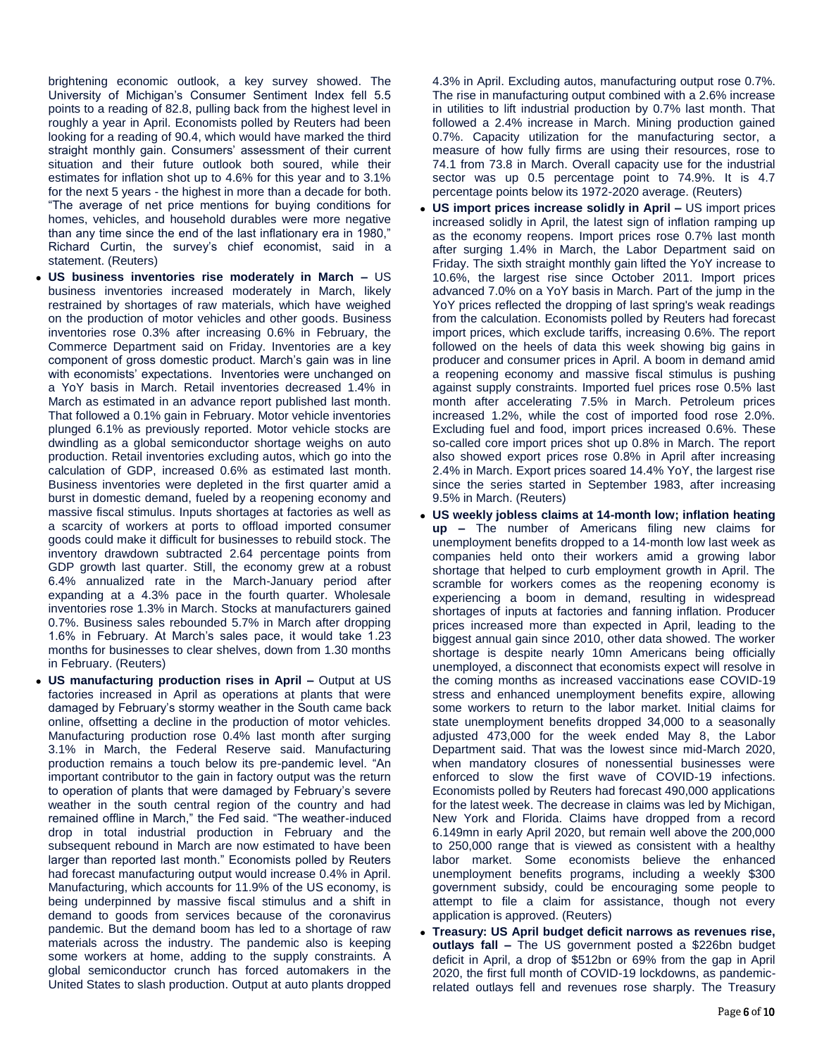brightening economic outlook, a key survey showed. The University of Michigan's Consumer Sentiment Index fell 5.5 points to a reading of 82.8, pulling back from the highest level in roughly a year in April. Economists polled by Reuters had been looking for a reading of 90.4, which would have marked the third straight monthly gain. Consumers' assessment of their current situation and their future outlook both soured, while their estimates for inflation shot up to 4.6% for this year and to 3.1% for the next 5 years - the highest in more than a decade for both. "The average of net price mentions for buying conditions for homes, vehicles, and household durables were more negative than any time since the end of the last inflationary era in 1980," Richard Curtin, the survey's chief economist, said in a statement. (Reuters)

- **US business inventories rise moderately in March –** US business inventories increased moderately in March, likely restrained by shortages of raw materials, which have weighed on the production of motor vehicles and other goods. Business inventories rose 0.3% after increasing 0.6% in February, the Commerce Department said on Friday. Inventories are a key component of gross domestic product. March's gain was in line with economists' expectations. Inventories were unchanged on a YoY basis in March. Retail inventories decreased 1.4% in March as estimated in an advance report published last month. That followed a 0.1% gain in February. Motor vehicle inventories plunged 6.1% as previously reported. Motor vehicle stocks are dwindling as a global semiconductor shortage weighs on auto production. Retail inventories excluding autos, which go into the calculation of GDP, increased 0.6% as estimated last month. Business inventories were depleted in the first quarter amid a burst in domestic demand, fueled by a reopening economy and massive fiscal stimulus. Inputs shortages at factories as well as a scarcity of workers at ports to offload imported consumer goods could make it difficult for businesses to rebuild stock. The inventory drawdown subtracted 2.64 percentage points from GDP growth last quarter. Still, the economy grew at a robust 6.4% annualized rate in the March-January period after expanding at a 4.3% pace in the fourth quarter. Wholesale inventories rose 1.3% in March. Stocks at manufacturers gained 0.7%. Business sales rebounded 5.7% in March after dropping 1.6% in February. At March's sales pace, it would take 1.23 months for businesses to clear shelves, down from 1.30 months in February. (Reuters)
- **US manufacturing production rises in April –** Output at US factories increased in April as operations at plants that were damaged by February's stormy weather in the South came back online, offsetting a decline in the production of motor vehicles. Manufacturing production rose 0.4% last month after surging 3.1% in March, the Federal Reserve said. Manufacturing production remains a touch below its pre-pandemic level. "An important contributor to the gain in factory output was the return to operation of plants that were damaged by February's severe weather in the south central region of the country and had remained offline in March," the Fed said. "The weather-induced drop in total industrial production in February and the subsequent rebound in March are now estimated to have been larger than reported last month." Economists polled by Reuters had forecast manufacturing output would increase 0.4% in April. Manufacturing, which accounts for 11.9% of the US economy, is being underpinned by massive fiscal stimulus and a shift in demand to goods from services because of the coronavirus pandemic. But the demand boom has led to a shortage of raw materials across the industry. The pandemic also is keeping some workers at home, adding to the supply constraints. A global semiconductor crunch has forced automakers in the United States to slash production. Output at auto plants dropped

4.3% in April. Excluding autos, manufacturing output rose 0.7%. The rise in manufacturing output combined with a 2.6% increase in utilities to lift industrial production by 0.7% last month. That followed a 2.4% increase in March. Mining production gained 0.7%. Capacity utilization for the manufacturing sector, a measure of how fully firms are using their resources, rose to 74.1 from 73.8 in March. Overall capacity use for the industrial sector was up 0.5 percentage point to 74.9%. It is 4.7 percentage points below its 1972-2020 average. (Reuters)

- **US import prices increase solidly in April –** US import prices increased solidly in April, the latest sign of inflation ramping up as the economy reopens. Import prices rose 0.7% last month after surging 1.4% in March, the Labor Department said on Friday. The sixth straight monthly gain lifted the YoY increase to 10.6%, the largest rise since October 2011. Import prices advanced 7.0% on a YoY basis in March. Part of the jump in the YoY prices reflected the dropping of last spring's weak readings from the calculation. Economists polled by Reuters had forecast import prices, which exclude tariffs, increasing 0.6%. The report followed on the heels of data this week showing big gains in producer and consumer prices in April. A boom in demand amid a reopening economy and massive fiscal stimulus is pushing against supply constraints. Imported fuel prices rose 0.5% last month after accelerating 7.5% in March. Petroleum prices increased 1.2%, while the cost of imported food rose 2.0%. Excluding fuel and food, import prices increased 0.6%. These so-called core import prices shot up 0.8% in March. The report also showed export prices rose 0.8% in April after increasing 2.4% in March. Export prices soared 14.4% YoY, the largest rise since the series started in September 1983, after increasing 9.5% in March. (Reuters)
- **US weekly jobless claims at 14-month low; inflation heating up –** The number of Americans filing new claims for unemployment benefits dropped to a 14-month low last week as companies held onto their workers amid a growing labor shortage that helped to curb employment growth in April. The scramble for workers comes as the reopening economy is experiencing a boom in demand, resulting in widespread shortages of inputs at factories and fanning inflation. Producer prices increased more than expected in April, leading to the biggest annual gain since 2010, other data showed. The worker shortage is despite nearly 10mn Americans being officially unemployed, a disconnect that economists expect will resolve in the coming months as increased vaccinations ease COVID-19 stress and enhanced unemployment benefits expire, allowing some workers to return to the labor market. Initial claims for state unemployment benefits dropped 34,000 to a seasonally adjusted 473,000 for the week ended May 8, the Labor Department said. That was the lowest since mid-March 2020, when mandatory closures of nonessential businesses were enforced to slow the first wave of COVID-19 infections. Economists polled by Reuters had forecast 490,000 applications for the latest week. The decrease in claims was led by Michigan, New York and Florida. Claims have dropped from a record 6.149mn in early April 2020, but remain well above the 200,000 to 250,000 range that is viewed as consistent with a healthy labor market. Some economists believe the enhanced unemployment benefits programs, including a weekly \$300 government subsidy, could be encouraging some people to attempt to file a claim for assistance, though not every application is approved. (Reuters)
- **Treasury: US April budget deficit narrows as revenues rise, outlays fall –** The US government posted a \$226bn budget deficit in April, a drop of \$512bn or 69% from the gap in April 2020, the first full month of COVID-19 lockdowns, as pandemicrelated outlays fell and revenues rose sharply. The Treasury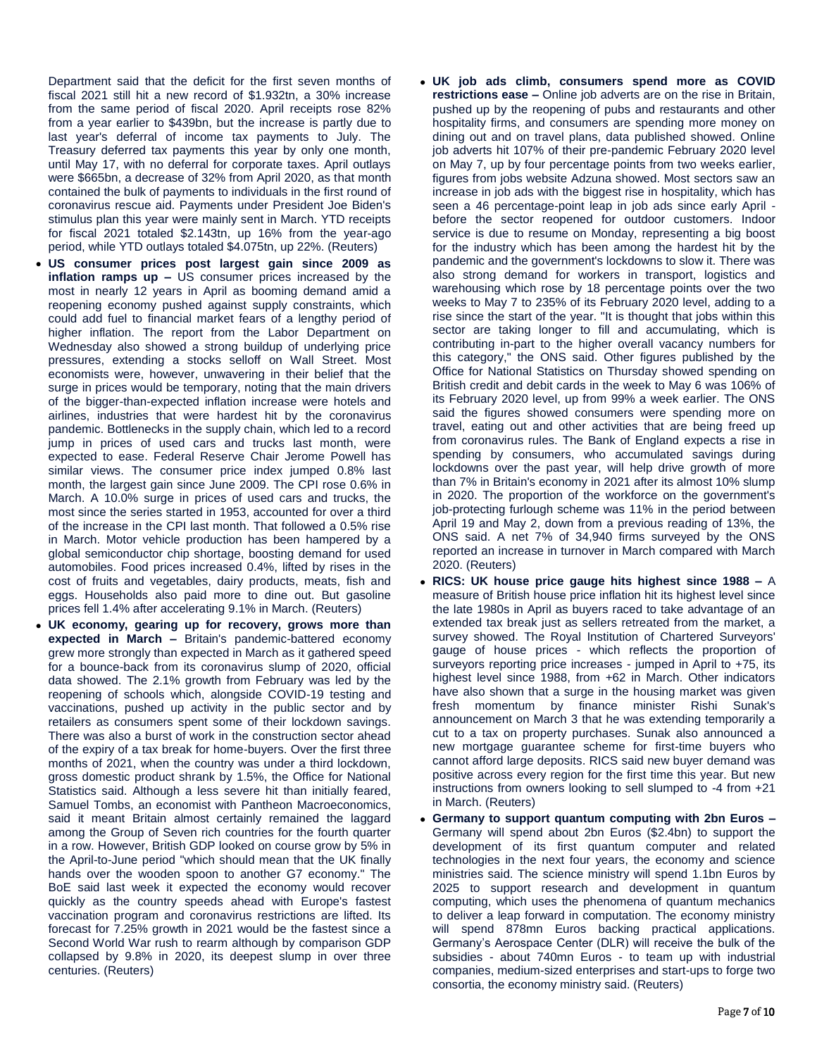Department said that the deficit for the first seven months of fiscal 2021 still hit a new record of \$1.932tn, a 30% increase from the same period of fiscal 2020. April receipts rose 82% from a year earlier to \$439bn, but the increase is partly due to last year's deferral of income tax payments to July. The Treasury deferred tax payments this year by only one month, until May 17, with no deferral for corporate taxes. April outlays were \$665bn, a decrease of 32% from April 2020, as that month contained the bulk of payments to individuals in the first round of coronavirus rescue aid. Payments under President Joe Biden's stimulus plan this year were mainly sent in March. YTD receipts for fiscal 2021 totaled \$2.143tn, up 16% from the year-ago period, while YTD outlays totaled \$4.075tn, up 22%. (Reuters)

- **US consumer prices post largest gain since 2009 as inflation ramps up –** US consumer prices increased by the most in nearly 12 years in April as booming demand amid a reopening economy pushed against supply constraints, which could add fuel to financial market fears of a lengthy period of higher inflation. The report from the Labor Department on Wednesday also showed a strong buildup of underlying price pressures, extending a stocks selloff on Wall Street. Most economists were, however, unwavering in their belief that the surge in prices would be temporary, noting that the main drivers of the bigger-than-expected inflation increase were hotels and airlines, industries that were hardest hit by the coronavirus pandemic. Bottlenecks in the supply chain, which led to a record jump in prices of used cars and trucks last month, were expected to ease. Federal Reserve Chair Jerome Powell has similar views. The consumer price index jumped 0.8% last month, the largest gain since June 2009. The CPI rose 0.6% in March. A 10.0% surge in prices of used cars and trucks, the most since the series started in 1953, accounted for over a third of the increase in the CPI last month. That followed a 0.5% rise in March. Motor vehicle production has been hampered by a global semiconductor chip shortage, boosting demand for used automobiles. Food prices increased 0.4%, lifted by rises in the cost of fruits and vegetables, dairy products, meats, fish and eggs. Households also paid more to dine out. But gasoline prices fell 1.4% after accelerating 9.1% in March. (Reuters)
- **UK economy, gearing up for recovery, grows more than expected in March –** Britain's pandemic-battered economy grew more strongly than expected in March as it gathered speed for a bounce-back from its coronavirus slump of 2020, official data showed. The 2.1% growth from February was led by the reopening of schools which, alongside COVID-19 testing and vaccinations, pushed up activity in the public sector and by retailers as consumers spent some of their lockdown savings. There was also a burst of work in the construction sector ahead of the expiry of a tax break for home-buyers. Over the first three months of 2021, when the country was under a third lockdown, gross domestic product shrank by 1.5%, the Office for National Statistics said. Although a less severe hit than initially feared, Samuel Tombs, an economist with Pantheon Macroeconomics, said it meant Britain almost certainly remained the laggard among the Group of Seven rich countries for the fourth quarter in a row. However, British GDP looked on course grow by 5% in the April-to-June period "which should mean that the UK finally hands over the wooden spoon to another G7 economy." The BoE said last week it expected the economy would recover quickly as the country speeds ahead with Europe's fastest vaccination program and coronavirus restrictions are lifted. Its forecast for 7.25% growth in 2021 would be the fastest since a Second World War rush to rearm although by comparison GDP collapsed by 9.8% in 2020, its deepest slump in over three centuries. (Reuters)
- **UK job ads climb, consumers spend more as COVID restrictions ease –** Online job adverts are on the rise in Britain, pushed up by the reopening of pubs and restaurants and other hospitality firms, and consumers are spending more money on dining out and on travel plans, data published showed. Online job adverts hit 107% of their pre-pandemic February 2020 level on May 7, up by four percentage points from two weeks earlier, figures from jobs website Adzuna showed. Most sectors saw an increase in job ads with the biggest rise in hospitality, which has seen a 46 percentage-point leap in job ads since early April before the sector reopened for outdoor customers. Indoor service is due to resume on Monday, representing a big boost for the industry which has been among the hardest hit by the pandemic and the government's lockdowns to slow it. There was also strong demand for workers in transport, logistics and warehousing which rose by 18 percentage points over the two weeks to May 7 to 235% of its February 2020 level, adding to a rise since the start of the year. "It is thought that jobs within this sector are taking longer to fill and accumulating, which is contributing in-part to the higher overall vacancy numbers for this category," the ONS said. Other figures published by the Office for National Statistics on Thursday showed spending on British credit and debit cards in the week to May 6 was 106% of its February 2020 level, up from 99% a week earlier. The ONS said the figures showed consumers were spending more on travel, eating out and other activities that are being freed up from coronavirus rules. The Bank of England expects a rise in spending by consumers, who accumulated savings during lockdowns over the past year, will help drive growth of more than 7% in Britain's economy in 2021 after its almost 10% slump in 2020. The proportion of the workforce on the government's job-protecting furlough scheme was 11% in the period between April 19 and May 2, down from a previous reading of 13%, the ONS said. A net 7% of 34,940 firms surveyed by the ONS reported an increase in turnover in March compared with March 2020. (Reuters)
- **RICS: UK house price gauge hits highest since 1988 –** A measure of British house price inflation hit its highest level since the late 1980s in April as buyers raced to take advantage of an extended tax break just as sellers retreated from the market, a survey showed. The Royal Institution of Chartered Surveyors' gauge of house prices - which reflects the proportion of surveyors reporting price increases - jumped in April to +75, its highest level since 1988, from +62 in March. Other indicators have also shown that a surge in the housing market was given fresh momentum by finance minister Rishi Sunak's announcement on March 3 that he was extending temporarily a cut to a tax on property purchases. Sunak also announced a new mortgage guarantee scheme for first-time buyers who cannot afford large deposits. RICS said new buyer demand was positive across every region for the first time this year. But new instructions from owners looking to sell slumped to -4 from +21 in March. (Reuters)
- **Germany to support quantum computing with 2bn Euros –** Germany will spend about 2bn Euros (\$2.4bn) to support the development of its first quantum computer and related technologies in the next four years, the economy and science ministries said. The science ministry will spend 1.1bn Euros by 2025 to support research and development in quantum computing, which uses the phenomena of quantum mechanics to deliver a leap forward in computation. The economy ministry will spend 878mn Euros backing practical applications. Germany's Aerospace Center (DLR) will receive the bulk of the subsidies - about 740mn Euros - to team up with industrial companies, medium-sized enterprises and start-ups to forge two consortia, the economy ministry said. (Reuters)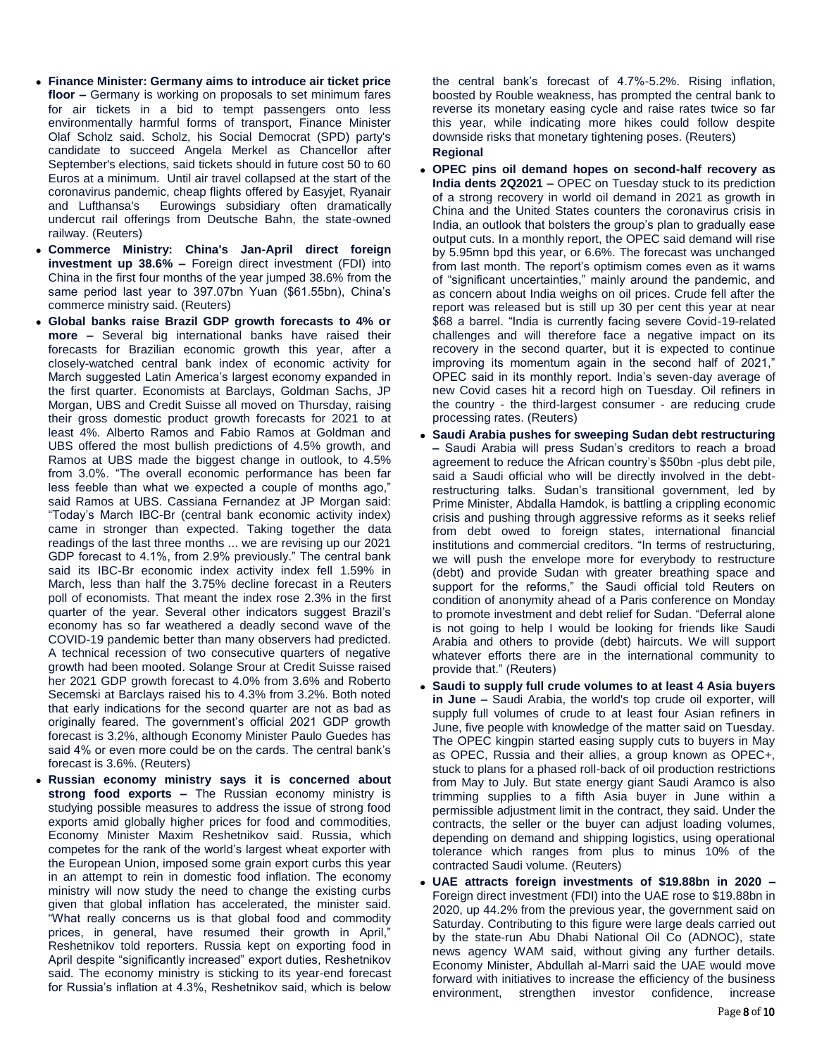- **Finance Minister: Germany aims to introduce air ticket price floor –** Germany is working on proposals to set minimum fares for air tickets in a bid to tempt passengers onto less environmentally harmful forms of transport, Finance Minister Olaf Scholz said. Scholz, his Social Democrat (SPD) party's candidate to succeed Angela Merkel as Chancellor after September's elections, said tickets should in future cost 50 to 60 Euros at a minimum. Until air travel collapsed at the start of the coronavirus pandemic, cheap flights offered by Easyjet, Ryanair and Lufthansa's Eurowings subsidiary often dramatically undercut rail offerings from Deutsche Bahn, the state-owned railway. (Reuters)
- **Commerce Ministry: China's Jan-April direct foreign investment up 38.6% –** Foreign direct investment (FDI) into China in the first four months of the year jumped 38.6% from the same period last year to 397.07bn Yuan (\$61.55bn), China's commerce ministry said. (Reuters)
- **Global banks raise Brazil GDP growth forecasts to 4% or more –** Several big international banks have raised their forecasts for Brazilian economic growth this year, after a closely-watched central bank index of economic activity for March suggested Latin America's largest economy expanded in the first quarter. Economists at Barclays, Goldman Sachs, JP Morgan, UBS and Credit Suisse all moved on Thursday, raising their gross domestic product growth forecasts for 2021 to at least 4%. Alberto Ramos and Fabio Ramos at Goldman and UBS offered the most bullish predictions of 4.5% growth, and Ramos at UBS made the biggest change in outlook, to 4.5% from 3.0%. "The overall economic performance has been far less feeble than what we expected a couple of months ago," said Ramos at UBS. Cassiana Fernandez at JP Morgan said: "Today's March IBC-Br (central bank economic activity index) came in stronger than expected. Taking together the data readings of the last three months ... we are revising up our 2021 GDP forecast to 4.1%, from 2.9% previously." The central bank said its IBC-Br economic index activity index fell 1.59% in March, less than half the 3.75% decline forecast in a Reuters poll of economists. That meant the index rose 2.3% in the first quarter of the year. Several other indicators suggest Brazil's economy has so far weathered a deadly second wave of the COVID-19 pandemic better than many observers had predicted. A technical recession of two consecutive quarters of negative growth had been mooted. Solange Srour at Credit Suisse raised her 2021 GDP growth forecast to 4.0% from 3.6% and Roberto Secemski at Barclays raised his to 4.3% from 3.2%. Both noted that early indications for the second quarter are not as bad as originally feared. The government's official 2021 GDP growth forecast is 3.2%, although Economy Minister Paulo Guedes has said 4% or even more could be on the cards. The central bank's forecast is 3.6%. (Reuters)
- **Russian economy ministry says it is concerned about strong food exports –** The Russian economy ministry is studying possible measures to address the issue of strong food exports amid globally higher prices for food and commodities, Economy Minister Maxim Reshetnikov said. Russia, which competes for the rank of the world's largest wheat exporter with the European Union, imposed some grain export curbs this year in an attempt to rein in domestic food inflation. The economy ministry will now study the need to change the existing curbs given that global inflation has accelerated, the minister said. "What really concerns us is that global food and commodity prices, in general, have resumed their growth in April," Reshetnikov told reporters. Russia kept on exporting food in April despite "significantly increased" export duties, Reshetnikov said. The economy ministry is sticking to its year-end forecast for Russia's inflation at 4.3%, Reshetnikov said, which is below

the central bank's forecast of 4.7%-5.2%. Rising inflation, boosted by Rouble weakness, has prompted the central bank to reverse its monetary easing cycle and raise rates twice so far this year, while indicating more hikes could follow despite downside risks that monetary tightening poses. (Reuters) **Regional**

- **OPEC pins oil demand hopes on second-half recovery as India dents 2Q2021 –** OPEC on Tuesday stuck to its prediction of a strong recovery in world oil demand in 2021 as growth in China and the United States counters the coronavirus crisis in India, an outlook that bolsters the group's plan to gradually ease output cuts. In a monthly report, the OPEC said demand will rise by 5.95mn bpd this year, or 6.6%. The forecast was unchanged from last month. The report's optimism comes even as it warns of "significant uncertainties," mainly around the pandemic, and as concern about India weighs on oil prices. Crude fell after the report was released but is still up 30 per cent this year at near \$68 a barrel. "India is currently facing severe Covid-19-related challenges and will therefore face a negative impact on its recovery in the second quarter, but it is expected to continue improving its momentum again in the second half of 2021," OPEC said in its monthly report. India's seven-day average of new Covid cases hit a record high on Tuesday. Oil refiners in the country - the third-largest consumer - are reducing crude processing rates. (Reuters)
- **Saudi Arabia pushes for sweeping Sudan debt restructuring –** Saudi Arabia will press Sudan's creditors to reach a broad agreement to reduce the African country's \$50bn -plus debt pile, said a Saudi official who will be directly involved in the debtrestructuring talks. Sudan's transitional government, led by Prime Minister, Abdalla Hamdok, is battling a crippling economic crisis and pushing through aggressive reforms as it seeks relief from debt owed to foreign states, international financial institutions and commercial creditors. "In terms of restructuring, we will push the envelope more for everybody to restructure (debt) and provide Sudan with greater breathing space and support for the reforms," the Saudi official told Reuters on condition of anonymity ahead of a Paris conference on Monday to promote investment and debt relief for Sudan. "Deferral alone is not going to help I would be looking for friends like Saudi Arabia and others to provide (debt) haircuts. We will support whatever efforts there are in the international community to provide that." (Reuters)
- **Saudi to supply full crude volumes to at least 4 Asia buyers in June –** Saudi Arabia, the world's top crude oil exporter, will supply full volumes of crude to at least four Asian refiners in June, five people with knowledge of the matter said on Tuesday. The OPEC kingpin started easing supply cuts to buyers in May as OPEC, Russia and their allies, a group known as OPEC+, stuck to plans for a phased roll-back of oil production restrictions from May to July. But state energy giant Saudi Aramco is also trimming supplies to a fifth Asia buyer in June within a permissible adjustment limit in the contract, they said. Under the contracts, the seller or the buyer can adjust loading volumes, depending on demand and shipping logistics, using operational tolerance which ranges from plus to minus 10% of the contracted Saudi volume. (Reuters)
- **UAE attracts foreign investments of \$19.88bn in 2020 –** Foreign direct investment (FDI) into the UAE rose to \$19.88bn in 2020, up 44.2% from the previous year, the government said on Saturday. Contributing to this figure were large deals carried out by the state-run Abu Dhabi National Oil Co (ADNOC), state news agency WAM said, without giving any further details. Economy Minister, Abdullah al-Marri said the UAE would move forward with initiatives to increase the efficiency of the business environment, strengthen investor confidence, increase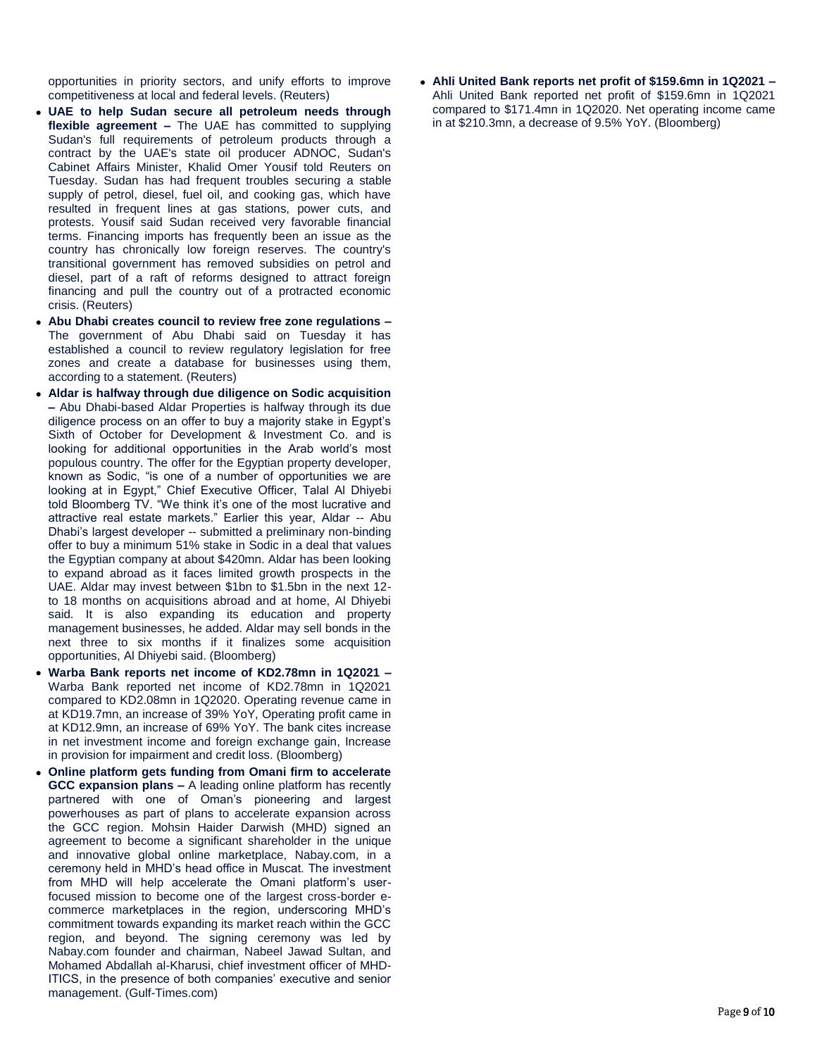opportunities in priority sectors, and unify efforts to improve competitiveness at local and federal levels. (Reuters)

- **UAE to help Sudan secure all petroleum needs through flexible agreement –** The UAE has committed to supplying Sudan's full requirements of petroleum products through a contract by the UAE's state oil producer ADNOC, Sudan's Cabinet Affairs Minister, Khalid Omer Yousif told Reuters on Tuesday. Sudan has had frequent troubles securing a stable supply of petrol, diesel, fuel oil, and cooking gas, which have resulted in frequent lines at gas stations, power cuts, and protests. Yousif said Sudan received very favorable financial terms. Financing imports has frequently been an issue as the country has chronically low foreign reserves. The country's transitional government has removed subsidies on petrol and diesel, part of a raft of reforms designed to attract foreign financing and pull the country out of a protracted economic crisis. (Reuters)
- **Abu Dhabi creates council to review free zone regulations –** The government of Abu Dhabi said on Tuesday it has established a council to review regulatory legislation for free zones and create a database for businesses using them, according to a statement. (Reuters)
- **Aldar is halfway through due diligence on Sodic acquisition –** Abu Dhabi-based Aldar Properties is halfway through its due diligence process on an offer to buy a majority stake in Egypt's Sixth of October for Development & Investment Co. and is looking for additional opportunities in the Arab world's most populous country. The offer for the Egyptian property developer, known as Sodic, "is one of a number of opportunities we are looking at in Egypt," Chief Executive Officer, Talal Al Dhiyebi told Bloomberg TV. "We think it's one of the most lucrative and attractive real estate markets." Earlier this year, Aldar -- Abu Dhabi's largest developer -- submitted a preliminary non-binding offer to buy a minimum 51% stake in Sodic in a deal that values the Egyptian company at about \$420mn. Aldar has been looking to expand abroad as it faces limited growth prospects in the UAE. Aldar may invest between \$1bn to \$1.5bn in the next 12 to 18 months on acquisitions abroad and at home, Al Dhiyebi said. It is also expanding its education and property management businesses, he added. Aldar may sell bonds in the next three to six months if it finalizes some acquisition opportunities, Al Dhiyebi said. (Bloomberg)
- **Warba Bank reports net income of KD2.78mn in 1Q2021 –** Warba Bank reported net income of KD2.78mn in 1Q2021 compared to KD2.08mn in 1Q2020. Operating revenue came in at KD19.7mn, an increase of 39% YoY, Operating profit came in at KD12.9mn, an increase of 69% YoY. The bank cites increase in net investment income and foreign exchange gain, Increase in provision for impairment and credit loss. (Bloomberg)
- **Online platform gets funding from Omani firm to accelerate GCC expansion plans –** A leading online platform has recently partnered with one of Oman's pioneering and largest powerhouses as part of plans to accelerate expansion across the GCC region. Mohsin Haider Darwish (MHD) signed an agreement to become a significant shareholder in the unique and innovative global online marketplace, Nabay.com, in a ceremony held in MHD's head office in Muscat. The investment from MHD will help accelerate the Omani platform's userfocused mission to become one of the largest cross-border ecommerce marketplaces in the region, underscoring MHD's commitment towards expanding its market reach within the GCC region, and beyond. The signing ceremony was led by Nabay.com founder and chairman, Nabeel Jawad Sultan, and Mohamed Abdallah al-Kharusi, chief investment officer of MHD-ITICS, in the presence of both companies' executive and senior management. (Gulf-Times.com)

 **Ahli United Bank reports net profit of \$159.6mn in 1Q2021 –** Ahli United Bank reported net profit of \$159.6mn in 1Q2021 compared to \$171.4mn in 1Q2020. Net operating income came in at \$210.3mn, a decrease of 9.5% YoY. (Bloomberg)